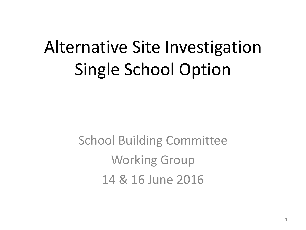# Alternative Site Investigation Single School Option

School Building Committee Working Group 14 & 16 June 2016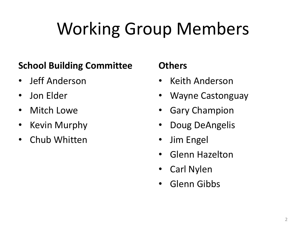# Working Group Members

#### **School Building Committee**

- Jeff Anderson
- Jon Elder
- Mitch Lowe
- Kevin Murphy
- Chub Whitten

#### **Others**

- Keith Anderson
- Wayne Castonguay
- Gary Champion
- Doug DeAngelis
- Jim Engel
- Glenn Hazelton
- Carl Nylen
- Glenn Gibbs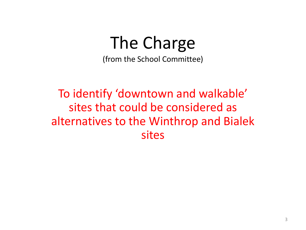### The Charge

(from the School Committee)

To identify 'downtown and walkable' sites that could be considered as alternatives to the Winthrop and Bialek sites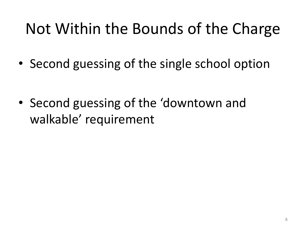### Not Within the Bounds of the Charge

• Second guessing of the single school option

• Second guessing of the 'downtown and walkable' requirement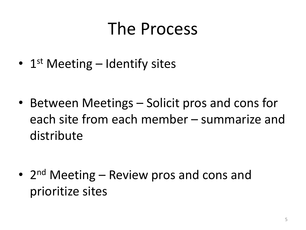### The Process

• 1<sup>st</sup> Meeting - Identify sites

• Between Meetings – Solicit pros and cons for each site from each member – summarize and distribute

• 2<sup>nd</sup> Meeting – Review pros and cons and prioritize sites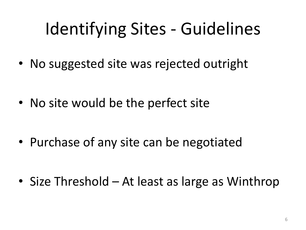# Identifying Sites - Guidelines

• No suggested site was rejected outright

• No site would be the perfect site

• Purchase of any site can be negotiated

• Size Threshold – At least as large as Winthrop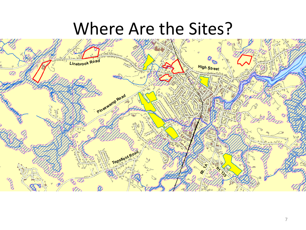### Where Are the Sites?

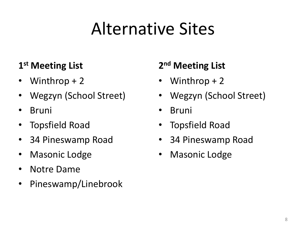# Alternative Sites

#### **1 st Meeting List**

- Winthrop + 2
- Wegzyn (School Street)
- Bruni
- Topsfield Road
- 34 Pineswamp Road
- Masonic Lodge
- Notre Dame
- Pineswamp/Linebrook

#### **2 nd Meeting List**

- Winthrop  $+2$
- Wegzyn (School Street)
- **Bruni**
- Topsfield Road
- 34 Pineswamp Road
- Masonic Lodge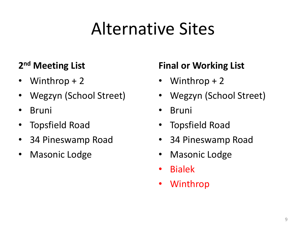# Alternative Sites

#### **2 nd Meeting List**

- Winthrop + 2
- Wegzyn (School Street)
- Bruni
- Topsfield Road
- 34 Pineswamp Road
- Masonic Lodge

#### **Final or Working List**

- Winthrop  $+2$
- Wegzyn (School Street)
- Bruni
- Topsfield Road
- 34 Pineswamp Road
- Masonic Lodge
- Bialek
- **Winthrop**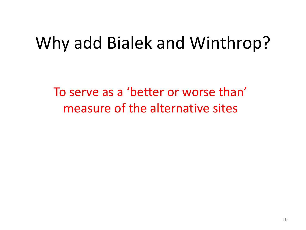### Why add Bialek and Winthrop?

To serve as a 'better or worse than' measure of the alternative sites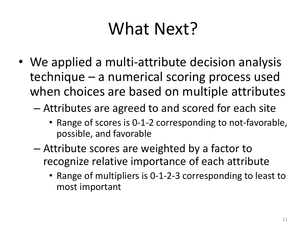## What Next?

- We applied a multi-attribute decision analysis technique – a numerical scoring process used when choices are based on multiple attributes
	- Attributes are agreed to and scored for each site
		- Range of scores is 0-1-2 corresponding to not-favorable, possible, and favorable
	- Attribute scores are weighted by a factor to recognize relative importance of each attribute
		- Range of multipliers is 0-1-2-3 corresponding to least to most important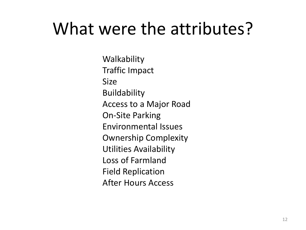### What were the attributes?

**Walkability** Traffic Impact Size Buildability Access to a Major Road On-Site Parking Environmental Issues Ownership Complexity Utilities Availability Loss of Farmland Field Replication After Hours Access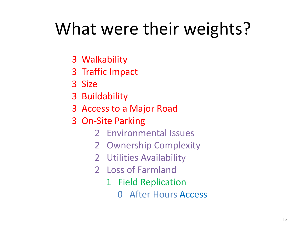# What were their weights?

- 3 Walkability
- 3 Traffic Impact
- 3 Size
- 3 Buildability
- 3 Access to a Major Road
- 3 On-Site Parking
	- 2 Environmental Issues
	- 2 Ownership Complexity
	- 2 Utilities Availability
	- 2 Loss of Farmland
		- 1 Field Replication
			- 0 After Hours Access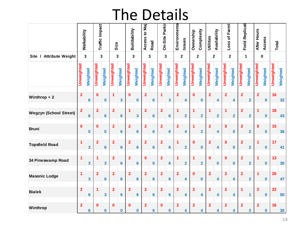### The Details

|                               |                         |                 |                         |                         |                         | $\blacksquare$<br>u | ╹┶                      |                  | レ                       | ┕              |                         | <u>LUIIJ</u> |                         |                         |                         |                         |                         |                         |                         |                |                         |                         |                         |          |            |          |  |
|-------------------------------|-------------------------|-----------------|-------------------------|-------------------------|-------------------------|---------------------|-------------------------|------------------|-------------------------|----------------|-------------------------|--------------|-------------------------|-------------------------|-------------------------|-------------------------|-------------------------|-------------------------|-------------------------|----------------|-------------------------|-------------------------|-------------------------|----------|------------|----------|--|
|                               | Walkability             |                 | Traffic Impact          |                         | Size                    |                     | Buildability            |                  | Access to Maj           | Road           | On-Site Parkin          |              | Environmenta            | Issues                  | Ownership               | Complexity              | Utilities               | Availability            | Farml<br>Loss of        |                | <b>Field Replicati</b>  |                         | After Hours             | Access   | Total      |          |  |
| Site / Attribute Weight       | $\mathbf{3}$            |                 | 3                       |                         | 3                       |                     | 3                       |                  | $\mathbf{3}$            |                | $\overline{\mathbf{3}}$ |              |                         | $\overline{\mathbf{2}}$ |                         | $\mathbf{2}$            | $\overline{\mathbf{2}}$ |                         | $\overline{\mathbf{2}}$ |                | $\mathbf{1}$            |                         | $\pmb{0}$               |          |            |          |  |
|                               | Unweighted              | Weighted        | Unweighted              | Weighted                | Unweighted              | Weighted            | Unweighted              | Weighted         | Unweighted              | Weighted       | Unweighted              | Weighted     | Unweighted              | Weighted                | Unweighted              | Weighted                | Unweighted              | Weighted                | Unweighted              | Weighted       | Unweighted              | Weighted                | Unweighted              | Weighted | Unweighted | Weighted |  |
| Winthrop $+2$                 | $\overline{2}$          | $6\phantom{1}$  | 0                       | $\bf{0}$                | $\blacktriangleleft$    | 3                   | $\mathbf{0}$            | $\boldsymbol{0}$ | $\overline{2}$          | $6\phantom{1}$ | 1                       | 3            | $\overline{2}$          | 4                       | $\bf{0}$                | 0                       | $\overline{2}$          | 4                       | $\overline{\mathbf{2}}$ | 4              | $\overline{2}$          | $\overline{\mathbf{2}}$ | $\overline{\mathbf{2}}$ | $\bf{0}$ | 16         | 32       |  |
| <b>Wegzyn (School Street)</b> | $\overline{2}$          | 6               | $\overline{\mathbf{2}}$ | $6\phantom{a}$          | $\overline{2}$          | 6                   | 1                       | 3                | $\overline{\mathbf{2}}$ | $6\phantom{1}$ | $\overline{2}$          | 6            | 1                       | $\overline{2}$          | 1                       | $\overline{\mathbf{2}}$ | 1                       | $\overline{\mathbf{2}}$ | $\overline{\mathbf{1}}$ | $\overline{2}$ | $\overline{2}$          | $\overline{\mathbf{2}}$ | 1                       | $\bf{0}$ | 18         | 43       |  |
| <b>Bruni</b>                  | $\bf{0}$                | $\bf{0}$        | $\bf{0}$                | $\pmb{0}$               | $\overline{2}$          | $6\phantom{a}$      | $\overline{2}$          | $6\phantom{1}6$  | $\overline{2}$          | $6\phantom{a}$ | $\overline{2}$          | 6            | $\overline{2}$          | 4                       | 1                       | $\overline{\mathbf{2}}$ | $\overline{2}$          | 4                       | $\bf{0}$                | $\bf{0}$       | $\overline{2}$          | $\overline{\mathbf{2}}$ | $\mathbf 0$             | $\bf{0}$ | 15         | 36       |  |
| <b>Topsfield Road</b>         | 1                       | 3               | $\overline{\mathbf{2}}$ | $6\phantom{a}$          | $\overline{\mathbf{2}}$ | 6                   | $\overline{\mathbf{2}}$ | $6\phantom{1}6$  | $\overline{\mathbf{2}}$ | $6\phantom{1}$ | $\overline{\mathbf{2}}$ | 6            | 1                       | $\overline{2}$          | $\bf{0}$                | 0                       | $\overline{\mathbf{2}}$ | 4                       | $\bf{0}$                | $\bf{0}$       | $\overline{\mathbf{2}}$ | $\overline{\mathbf{2}}$ | 1                       | $\bf{0}$ | 17         | 41       |  |
| 34 Pineswamp Road             | $\overline{\mathbf{1}}$ | 3               | 1                       | $\overline{\mathbf{3}}$ | $\overline{2}$          | $6\phantom{a}$      | $\overline{2}$          | $6\phantom{1}6$  | $\bf{0}$                | $\pmb{0}$      | $\overline{\mathbf{2}}$ | 6            | 1                       | $\overline{\mathbf{2}}$ | 1                       | $\overline{\mathbf{2}}$ | $\bf{0}$                | 0                       | $\bf{0}$                | $\bf{0}$       | $\overline{\mathbf{2}}$ | $\overline{\mathbf{2}}$ | $\mathbf{1}$            | $\bf{0}$ | 13         | 30       |  |
| <b>Masonic Lodge</b>          | $\overline{1}$          | 3               | $\overline{2}$          | $6\phantom{a}$          | $\overline{2}$          | 6                   | $\overline{2}$          | $6\phantom{1}6$  | $\overline{2}$          | $6\phantom{1}$ | $\overline{2}$          | 6            | $\overline{2}$          | 4                       | $\bf{0}$                | 0                       | $\overline{2}$          | 4                       | $\overline{2}$          | 4              | $\overline{2}$          | $\overline{\mathbf{2}}$ | $\overline{1}$          | $\bf{0}$ | 20         | 47       |  |
| <b>Bialek</b>                 | $\overline{\mathbf{2}}$ | $6\phantom{a}$  | 1                       | $\overline{\mathbf{3}}$ | $\overline{2}$          | $6\phantom{a}$      | $\overline{2}$          | $6\phantom{1}6$  | $\overline{2}$          | $6\phantom{a}$ | $\overline{\mathbf{2}}$ | 6            | $\overline{\mathbf{2}}$ | 4                       | $\overline{\mathbf{2}}$ | 4                       | $\overline{2}$          | 4                       | $\overline{2}$          | 4              | 1                       | $\mathbf{1}$            | $\overline{2}$          | $\bf{0}$ | 22         | 50       |  |
| Winthrop                      | $\overline{2}$          | $6\phantom{1}6$ | $\bf{0}$                | $\bf{0}$                | $\bf{0}$                | 0                   | $\bf{0}$                | $\bf{0}$         | $\overline{\mathbf{2}}$ | 6              | $\bf{0}$                | $\bf{0}$     | $\overline{2}$          | 4                       | $\overline{2}$          | 4                       | $\overline{2}$          | 4                       | $\overline{2}$          | 4              | $\overline{2}$          | $\overline{\mathbf{2}}$ | $\overline{2}$          | $\bf{0}$ | 16         | 30       |  |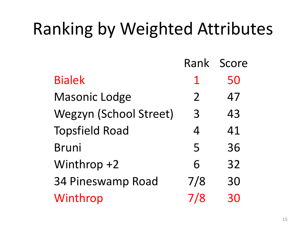# Ranking by Weighted Attributes

|                               | Rank           | Score |
|-------------------------------|----------------|-------|
| <b>Bialek</b>                 | $\mathbf 1$    | 50    |
| <b>Masonic Lodge</b>          | $\overline{2}$ | 47    |
| <b>Wegzyn (School Street)</b> | 3              | 43    |
| <b>Topsfield Road</b>         | $\overline{4}$ | 41    |
| <b>Bruni</b>                  | 5              | 36    |
| Winthrop +2                   | 6              | 32    |
| 34 Pineswamp Road             | 7/8            | 30    |
| Winthrop                      | 7/8            | 30    |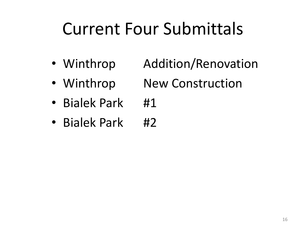## Current Four Submittals

- Winthrop Addition/Renovation
- Winthrop New Construction
- Bialek Park #1
- Bialek Park #2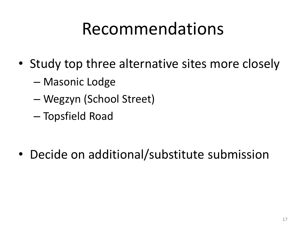### Recommendations

- Study top three alternative sites more closely
	- Masonic Lodge
	- Wegzyn (School Street)
	- Topsfield Road

• Decide on additional/substitute submission